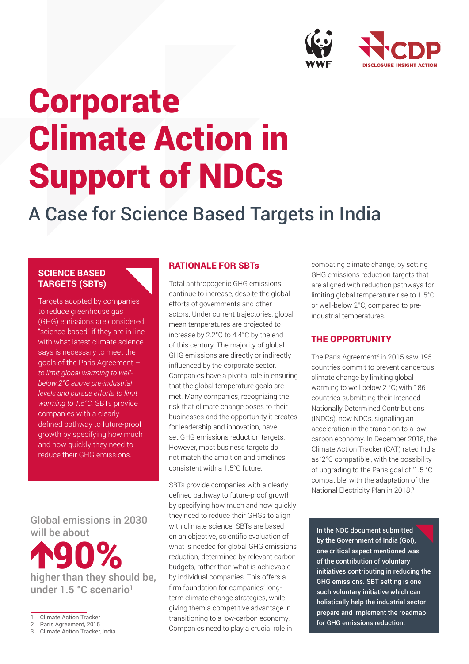

# Corporate Climate Action in Support of NDCs

## A Case for Science Based Targets in India

### **SCIENCE BASED TARGETS (SBTs)**

Targets adopted by companies to reduce greenhouse gas (GHG) emissions are considered "science-based" if they are in line with what latest climate science says is necessary to meet the goals of the Paris Agreement – *to limit global warming to wellbelow 2°C above pre-industrial levels and pursue efforts to limit warming to 1.5°C.* SBTs provide companies with a clearly defined pathway to future-proof growth by specifying how much and how quickly they need to reduce their GHG emissions.

### Global emissions in 2030 will be about

higher than they should be, 90% under 1.5 °C scenario<sup>1</sup>

#### 3 Climate Action Tracker, India

### RATIONALE FOR SBTs

Total anthropogenic GHG emissions continue to increase, despite the global efforts of governments and other actors. Under current trajectories, global mean temperatures are projected to increase by 2.2°C to 4.4°C by the end of this century. The majority of global GHG emissions are directly or indirectly influenced by the corporate sector. Companies have a pivotal role in ensuring that the global temperature goals are met. Many companies, recognizing the risk that climate change poses to their businesses and the opportunity it creates for leadership and innovation, have set GHG emissions reduction targets. However, most business targets do not match the ambition and timelines consistent with a 1.5°C future.

SBTs provide companies with a clearly defined pathway to future-proof growth by specifying how much and how quickly they need to reduce their GHGs to align with climate science. SBTs are based on an objective, scientific evaluation of what is needed for global GHG emissions reduction, determined by relevant carbon budgets, rather than what is achievable by individual companies. This offers a firm foundation for companies' longterm climate change strategies, while giving them a competitive advantage in transitioning to a low-carbon economy. Companies need to play a crucial role in

combating climate change, by setting GHG emissions reduction targets that are aligned with reduction pathways for limiting global temperature rise to 1.5°C or well-below 2°C, compared to preindustrial temperatures.

### THE OPPORTUNITY

The Paris Agreement<sup>2</sup> in 2015 saw 195 countries commit to prevent dangerous climate change by limiting global warming to well below 2 °C; with 186 countries submitting their Intended Nationally Determined Contributions (INDCs), now NDCs, signalling an acceleration in the transition to a low carbon economy. In December 2018, the Climate Action Tracker (CAT) rated India as '2°C compatible', with the possibility of upgrading to the Paris goal of '1.5 °C compatible' with the adaptation of the National Electricity Plan in 2018.3

In the NDC document submitted by the Government of India (GoI), one critical aspect mentioned was of the contribution of voluntary initiatives contributing in reducing the GHG emissions. SBT setting is one such voluntary initiative which can holistically help the industrial sector prepare and implement the roadmap for GHG emissions reduction.

**Climate Action Tracker** 

<sup>2</sup> Paris Agreement, 2015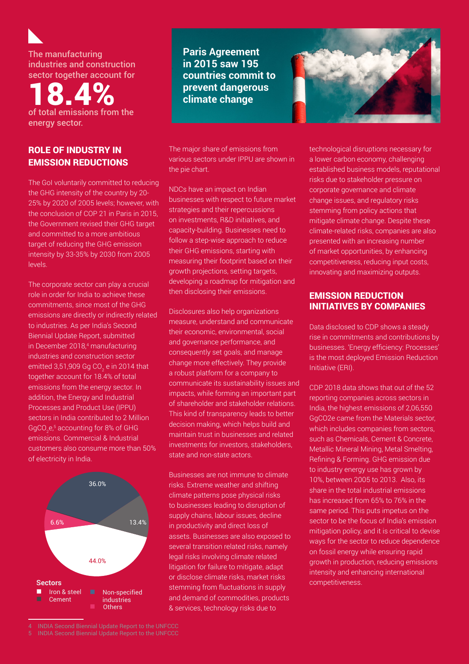The manufacturing industries and construction sector together account for

18.4% of total emissions from the energy sector.

### ROLE OF INDUSTRY IN EMISSION REDUCTIONS

The GoI voluntarily committed to reducing the GHG intensity of the country by 20- 25% by 2020 of 2005 levels; however, with the conclusion of COP 21 in Paris in 2015, the Government revised their GHG target and committed to a more ambitious target of reducing the GHG emission intensity by 33-35% by 2030 from 2005 levels.

The corporate sector can play a crucial role in order for India to achieve these commitments, since most of the GHG emissions are directly or indirectly related to industries. As per India's Second Biennial Update Report, submitted in December 2018,<sup>4</sup> manufacturing industries and construction sector emitted 3,51,909 Gg CO $_{\textrm{\tiny{2}}}$ e in 2014 that together account for 18.4% of total emissions from the energy sector. In addition, the Energy and Industrial Processes and Product Use (IPPU) sectors in India contributed to 2 Million GgCO $_2$ e, $^5$  accounting for 8% of GHG emissions. Commercial & Industrial customers also consume more than 50% of electricity in India.



**Paris Agreement in 2015 saw 195 countries commit to prevent dangerous climate change**

The major share of emissions from various sectors under IPPU are shown in the pie chart.

NDCs have an impact on Indian businesses with respect to future market strategies and their repercussions on investments, R&D initiatives, and capacity-building. Businesses need to follow a step-wise approach to reduce their GHG emissions, starting with measuring their footprint based on their growth projections, setting targets, developing a roadmap for mitigation and then disclosing their emissions.

Disclosures also help organizations measure, understand and communicate their economic, environmental, social and governance performance, and consequently set goals, and manage change more effectively. They provide a robust platform for a company to communicate its sustainability issues and impacts, while forming an important part of shareholder and stakeholder relations. This kind of transparency leads to better decision making, which helps build and maintain trust in businesses and related investments for investors, stakeholders, state and non-state actors.

Businesses are not immune to climate risks. Extreme weather and shifting climate patterns pose physical risks to businesses leading to disruption of supply chains, labour issues, decline in productivity and direct loss of assets. Businesses are also exposed to several transition related risks, namely legal risks involving climate related litigation for failure to mitigate, adapt or disclose climate risks, market risks stemming from fluctuations in supply and demand of commodities, products & services, technology risks due to



technological disruptions necessary for a lower carbon economy, challenging established business models, reputational risks due to stakeholder pressure on corporate governance and climate change issues, and regulatory risks stemming from policy actions that mitigate climate change. Despite these climate-related risks, companies are also presented with an increasing number of market opportunities, by enhancing competitiveness, reducing input costs, innovating and maximizing outputs.

### EMISSION REDUCTION INITIATIVES BY COMPANIES

Data disclosed to CDP shows a steady rise in commitments and contributions by businesses. 'Energy efficiency: Processes' is the most deployed Emission Reduction Initiative (ERI).

CDP 2018 data shows that out of the 52 reporting companies across sectors in India, the highest emissions of 2,06,550 GgCO2e came from the Materials sector, which includes companies from sectors, such as Chemicals, Cement & Concrete, Metallic Mineral Mining, Metal Smelting, Refining & Forming. GHG emission due to industry energy use has grown by 10%, between 2005 to 2013. Also, its share in the total industrial emissions has increased from 65% to 76% in the same period. This puts impetus on the sector to be the focus of India's emission mitigation policy, and it is critical to devise ways for the sector to reduce dependence on fossil energy while ensuring rapid growth in production, reducing emissions intensity and enhancing international competitiveness.

<sup>4</sup> INDIA Second Biennial Update Report to the UNFCCC

<sup>5</sup> INDIA Second Biennial Update Report to the UNFCCC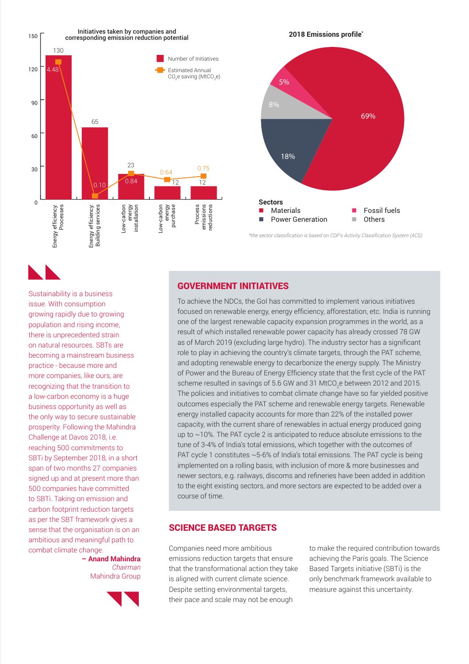

### GOVERNMENT INITIATIVES

Sustainability is a business issue. With consumption growing rapidly due to growing population and rising income, there is unprecedented strain on natural resources. SBTs are becoming a mainstream business practice - because more and more companies, like ours, are recognizing that the transition to a low-carbon economy is a huge business opportunity as well as the only way to secure sustainable prosperity. Following the Mahindra Challenge at Davos 2018, i.e. reaching 500 commitments to SBTi by September 2018, in a short span of two months 27 companies signed up and at present more than 500 companies have committed to SBTi. Taking on emission and carbon footprint reduction targets as per the SBT framework gives a sense that the organisation is on an ambitious and meaningful path to

combat climate change.

**– Anand Mahindra**

*Chairman* Mahindra Group

To achieve the NDCs, the GoI has committed to implement various initiatives focused on renewable energy, energy efficiency, afforestation, etc. India is running one of the largest renewable capacity expansion programmes in the world, as a result of which installed renewable power capacity has already crossed 78 GW as of March 2019 (excluding large hydro). The industry sector has a significant role to play in achieving the country's climate targets, through the PAT scheme, and adopting renewable energy to decarbonize the energy supply. The Ministry of Power and the Bureau of Energy Efficiency state that the first cycle of the PAT scheme resulted in savings of 5.6 GW and 31 MtCO<sub>2</sub>e between 2012 and 2015. The policies and initiatives to combat climate change have so far yielded positive outcomes especially the PAT scheme and renewable energy targets. Renewable energy installed capacity accounts for more than 22% of the installed power capacity, with the current share of renewables in actual energy produced going up to ~10%. The PAT cycle 2 is anticipated to reduce absolute emissions to the tune of 3-4% of India's total emissions, which together with the outcomes of PAT cycle 1 constitutes ~5-6% of India's total emissions. The PAT cycle is being implemented on a rolling basis, with inclusion of more & more businesses and newer sectors, e.g. railways, discoms and refineries have been added in addition to the eight existing sectors, and more sectors are expected to be added over a course of time.

### SCIENCE BASED TARGETS

Companies need more ambitious emissions reduction targets that ensure that the transformational action they take is aligned with current climate science. Despite setting environmental targets, their pace and scale may not be enough

to make the required contribution towards achieving the Paris goals. The Science Based Targets initiative (SBTi) is the only benchmark framework available to measure against this uncertainty.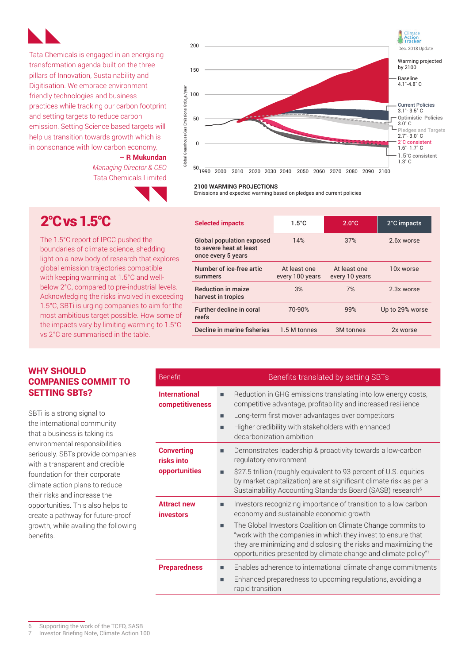

Tata Chemicals is engaged in an energising transformation agenda built on the three pillars of Innovation, Sustainability and Digitisation. We embrace environment friendly technologies and business practices while tracking our carbon footprint and setting targets to reduce carbon emission. Setting Science based targets will help us transition towards growth which is in consonance with low carbon economy.

> **– R Mukundan** *Managing Director & CEO* Tata Chemicals Limited



**Selected impacts 1.5°C** 2.0°C 2.0°C 2.0°C impacts

#### **2100 WARMING PROJECTIONS**

Emissions and expected warming based on pledges and current policies

### 2°C vs 1.5°C

The 1.5°C report of IPCC pushed the boundaries of climate science, shedding light on a new body of research that explores global emission trajectories compatible with keeping warming at 1.5°C and wellbelow 2°C, compared to pre-industrial levels. Acknowledging the risks involved in exceeding 1.5°C, SBTi is urging companies to aim for the most ambitious target possible. How some of the impacts vary by limiting warming to 1.5°C vs 2°C are summarised in the table.

#### Global population exposed to severe heat at least once every 5 years 14% 37% 2.6x worse Number of ice-free artic summers At least one every 100 years At least one every 10 years 10x worse Reduction in maize harvest in tropics 3% 7% 2.3x worse Further decline in coral reefs 70-90% 99% Up to 29% worse Decline in marine fisheries 1.5 M tonnes 3M tonnes 2x worse

| <b>Benefit</b>                          | Benefits translated by setting SBTs                                                                                                                                                                                                                                   |
|-----------------------------------------|-----------------------------------------------------------------------------------------------------------------------------------------------------------------------------------------------------------------------------------------------------------------------|
| <b>International</b><br>competitiveness | Reduction in GHG emissions translating into low energy costs,<br>competitive advantage, profitability and increased resilience                                                                                                                                        |
|                                         | Long-term first mover advantages over competitors<br>٠                                                                                                                                                                                                                |
|                                         | Higher credibility with stakeholders with enhanced<br>■<br>decarbonization ambition                                                                                                                                                                                   |
| <b>Converting</b><br>risks into         | Demonstrates leadership & proactivity towards a low-carbon<br>■<br>regulatory environment                                                                                                                                                                             |
| opportunities                           | \$27.5 trillion (roughly equivalent to 93 percent of U.S. equities<br>п<br>by market capitalization) are at significant climate risk as per a<br>Sustainability Accounting Standards Board (SASB) research <sup>6</sup>                                               |
| <b>Attract new</b><br><i>investors</i>  | Investors recognizing importance of transition to a low carbon<br>■<br>economy and sustainable economic growth                                                                                                                                                        |
|                                         | The Global Investors Coalition on Climate Change commits to<br>■<br>"work with the companies in which they invest to ensure that<br>they are minimizing and disclosing the risks and maximizing the<br>opportunities presented by climate change and climate policy"7 |
| <b>Preparedness</b>                     | Enables adherence to international climate change commitments<br>Enhanced preparedness to upcoming regulations, avoiding a<br>■<br>rapid transition                                                                                                                   |

### WHY SHOULD COMPANIES COMMIT TO SETTING SBTs?

SBTi is a strong signal to the international community that a business is taking its environmental responsibilities seriously. SBTs provide companies with a transparent and credible foundation for their corporate climate action plans to reduce their risks and increase the opportunities. This also helps to create a pathway for future-proof growth, while availing the following benefits.

<sup>6</sup> Supporting the work of the TCFD, SASB

Investor Briefing Note, Climate Action 100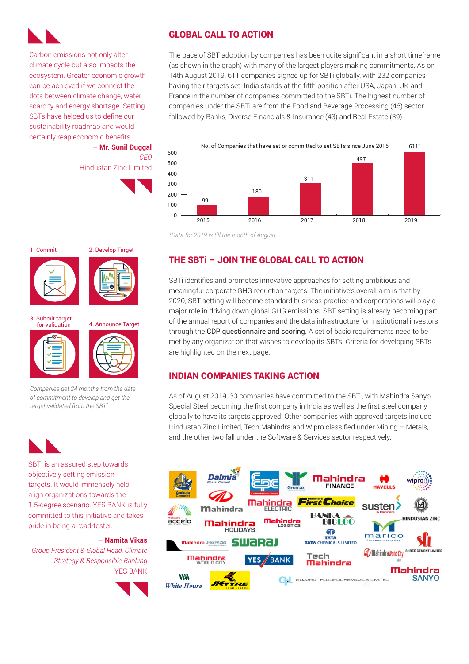

Carbon emissions not only alter climate cycle but also impacts the ecosystem. Greater economic growth can be achieved if we connect the dots between climate change, water scarcity and energy shortage. Setting SBTs have helped us to define our sustainability roadmap and would certainly reap economic benefits.

**– Mr. Sunil Duggal** *CEO* Hindustan Zinc Limited

### GLOBAL CALL TO ACTION

The pace of SBT adoption by companies has been quite significant in a short timeframe (as shown in the graph) with many of the largest players making commitments. As on 14th August 2019, 611 companies signed up for SBTi globally, with 232 companies having their targets set. India stands at the fifth position after USA, Japan, UK and France in the number of companies committed to the SBTi. The highest number of companies under the SBTi are from the Food and Beverage Processing (46) sector, followed by Banks, Diverse Financials & Insurance (43) and Real Estate (39).



*\*Data for 2019 is till the month of August*

### THE SBTi – JOIN THE GLOBAL CALL TO ACTION

SBTi identifies and promotes innovative approaches for setting ambitious and meaningful corporate GHG reduction targets. The initiative's overall aim is that by 2020, SBT setting will become standard business practice and corporations will play a major role in driving down global GHG emissions. SBT setting is already becoming part of the annual report of companies and the data infrastructure for institutional investors through the CDP questionnaire and scoring. A set of basic requirements need to be met by any organization that wishes to develop its SBTs. Criteria for developing SBTs are highlighted on the next page.

### INDIAN COMPANIES TAKING ACTION

As of August 2019, 30 companies have committed to the SBTi, with Mahindra Sanyo Special Steel becoming the first company in India as well as the first steel company globally to have its targets approved. Other companies with approved targets include Hindustan Zinc Limited, Tech Mahindra and Wipro classified under Mining – Metals, and the other two fall under the Software & Services sector respectively.



1. Commit 2. Develop Target





for validation 4. Announce Target

3. Submit target





*Companies get 24 months from the date of commitment to develop and get the target validated from the SBTi*



SBTi is an assured step towards objectively setting emission targets. It would immensely help align organizations towards the 1.5-degree scenario. YES BANK is fully committed to this initiative and takes pride in being a road-tester.

### **– Namita Vikas**

*Group President & Global Head, Climate Strategy & Responsible Banking* YES BANK